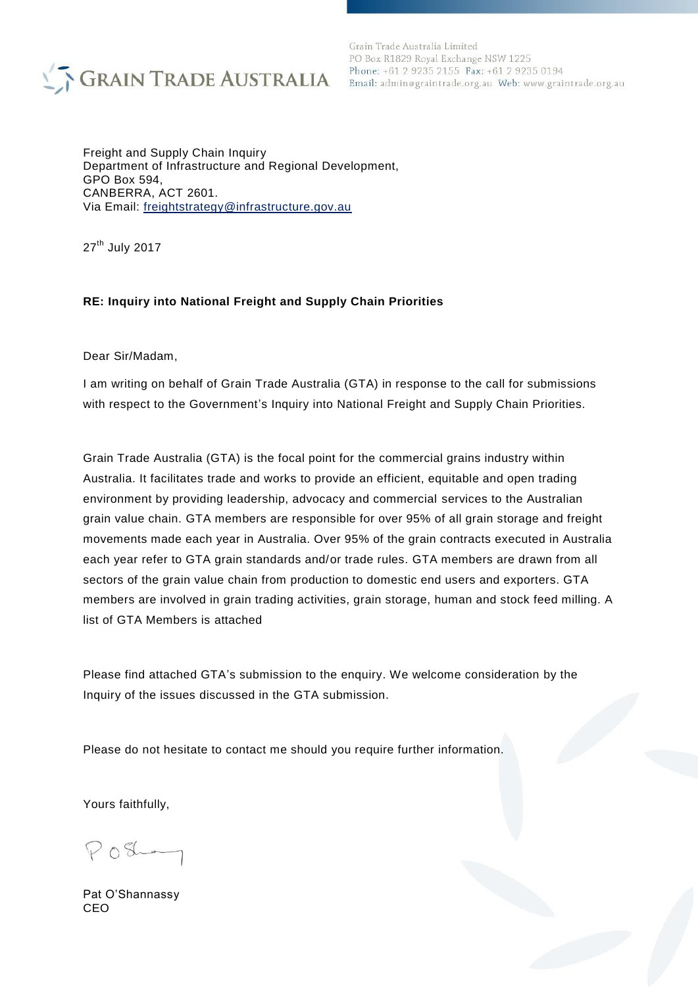

Grain Trade Australia Limited PO Box R1829 Royal Exchange NSW 1225 Phone: +61 2 9235 2155 Fax: +61 2 9235 0194

Freight and Supply Chain Inquiry Department of Infrastructure and Regional Development, GPO Box 594, CANBERRA, ACT 2601. Via Email: freightstrategy@infrastructure.gov.au

27<sup>th</sup> July 2017

#### **RE: Inquiry into National Freight and Supply Chain Priorities**

Dear Sir/Madam,

I am writing on behalf of Grain Trade Australia (GTA) in response to the call for submissions with respect to the Government's Inquiry into National Freight and Supply Chain Priorities.

Grain Trade Australia (GTA) is the focal point for the commercial grains industry within Australia. It facilitates trade and works to provide an efficient, equitable and open trading environment by providing leadership, advocacy and commercial services to the Australian grain value chain. GTA members are responsible for over 95% of all grain storage and freight movements made each year in Australia. Over 95% of the grain contracts executed in Australia each year refer to GTA grain standards and/or trade rules. GTA members are drawn from all sectors of the grain value chain from production to domestic end users and exporters. GTA members are involved in grain trading activities, grain storage, human and stock feed milling. A list of GTA Members is attached

Please find attached GTA's submission to the enquiry. We welcome consideration by the Inquiry of the issues discussed in the GTA submission.

Please do not hesitate to contact me should you require further information.

Yours faithfully,

 $PO8-$ 

Pat O'Shannassy CEO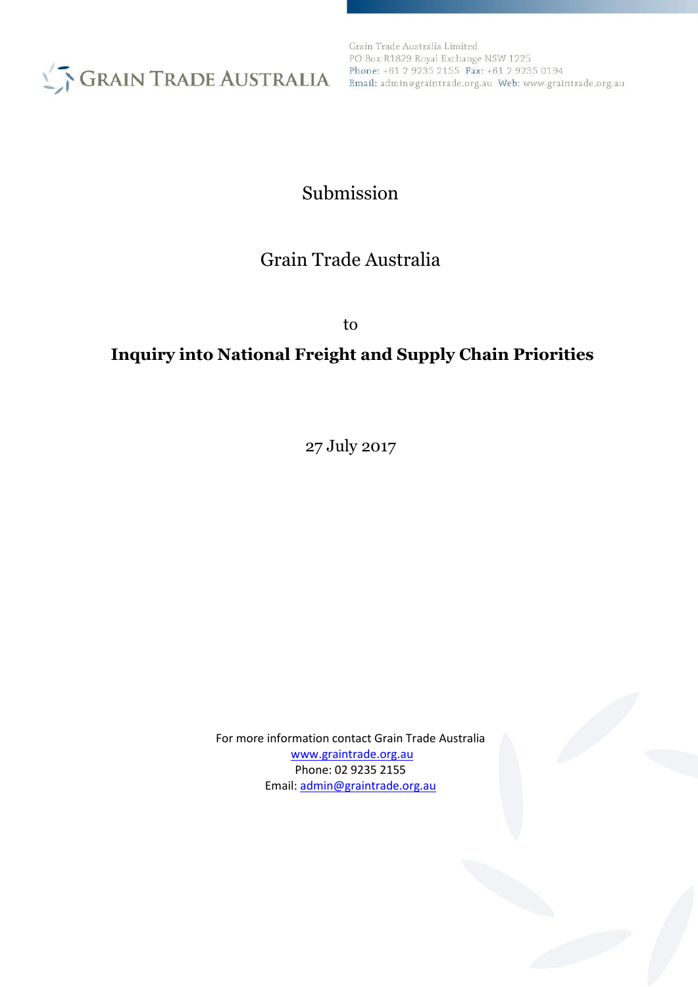

Grain Trade Australia Limited PO Box R1829 Royal Exchange NSW 1225 Phone: +61 2 9235 2155 Fax: +61 2 9235 0194

# Submission

# Grain Trade Australia

to

# **Inquiry into National Freight and Supply Chain Priorities**

27 July 2017

For more information contact Grain Trade Australia [www.graintrade.org.au](http://www.graintrade.org.au/) Phone: 02 9235 2155 Email: [admin@graintrade.org.au](mailto:admin@graintrade.org.au)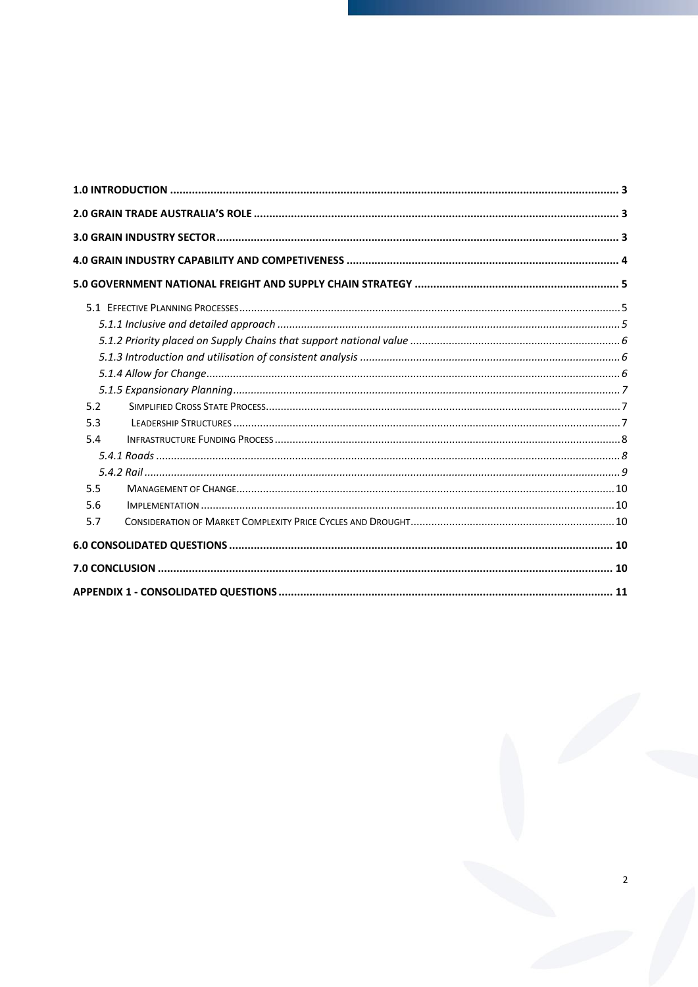| 5.2 |  |
|-----|--|
| 5.3 |  |
| 5.4 |  |
|     |  |
|     |  |
| 5.5 |  |
| 5.6 |  |
| 5.7 |  |
|     |  |
|     |  |
|     |  |

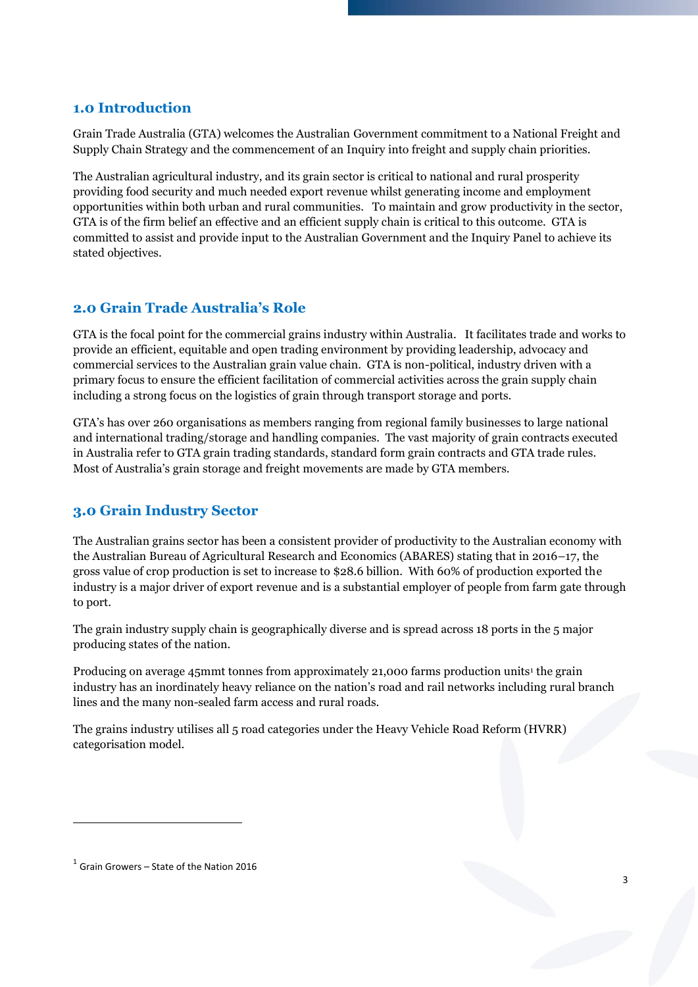#### <span id="page-3-0"></span>**1.0 Introduction**

Grain Trade Australia (GTA) welcomes the Australian Government commitment to a National Freight and Supply Chain Strategy and the commencement of an Inquiry into freight and supply chain priorities.

The Australian agricultural industry, and its grain sector is critical to national and rural prosperity providing food security and much needed export revenue whilst generating income and employment opportunities within both urban and rural communities. To maintain and grow productivity in the sector, GTA is of the firm belief an effective and an efficient supply chain is critical to this outcome. GTA is committed to assist and provide input to the Australian Government and the Inquiry Panel to achieve its stated objectives.

## <span id="page-3-1"></span>**2.0 Grain Trade Australia's Role**

GTA is the focal point for the commercial grains industry within Australia. It facilitates trade and works to provide an efficient, equitable and open trading environment by providing leadership, advocacy and commercial services to the Australian grain value chain. GTA is non-political, industry driven with a primary focus to ensure the efficient facilitation of commercial activities across the grain supply chain including a strong focus on the logistics of grain through transport storage and ports.

GTA's has over 260 organisations as members ranging from regional family businesses to large national and international trading/storage and handling companies. The vast majority of grain contracts executed in Australia refer to GTA grain trading standards, standard form grain contracts and GTA trade rules. Most of Australia's grain storage and freight movements are made by GTA members.

## <span id="page-3-2"></span>**3.0 Grain Industry Sector**

The Australian grains sector has been a consistent provider of productivity to the Australian economy with the Australian Bureau of Agricultural Research and Economics (ABARES) stating that in 2016–17, the gross value of crop production is set to increase to \$28.6 billion. With 60% of production exported the industry is a major driver of export revenue and is a substantial employer of people from farm gate through to port.

The grain industry supply chain is geographically diverse and is spread across 18 ports in the 5 major producing states of the nation.

Producing on average 45mmt tonnes from approximately 21,000 farms production units<sup>1</sup> the grain industry has an inordinately heavy reliance on the nation's road and rail networks including rural branch lines and the many non-sealed farm access and rural roads.

The grains industry utilises all 5 road categories under the Heavy Vehicle Road Reform (HVRR) categorisation model.

 $\overline{a}$ 

 $<sup>1</sup>$  Grain Growers – State of the Nation 2016</sup>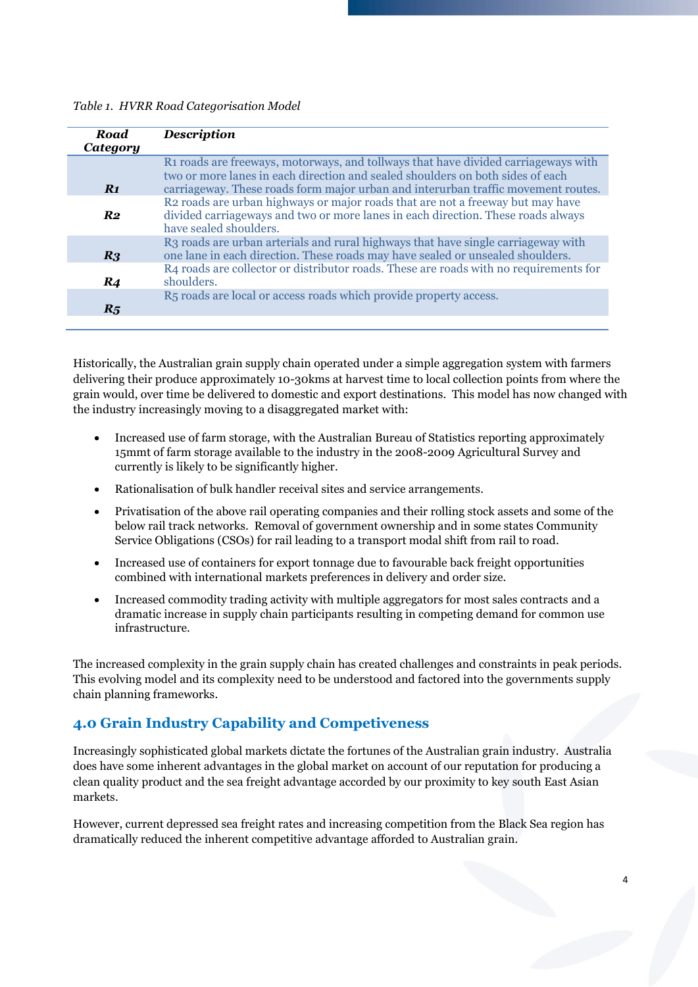#### *Table 1. HVRR Road Categorisation Model*

| <b>Road</b>     | <b>Description</b>                                                                                                                                                                                                                                        |
|-----------------|-----------------------------------------------------------------------------------------------------------------------------------------------------------------------------------------------------------------------------------------------------------|
| <b>Category</b> |                                                                                                                                                                                                                                                           |
| $R_1$           | R1 roads are freeways, motorways, and tollways that have divided carriageways with<br>two or more lanes in each direction and sealed shoulders on both sides of each<br>carriageway. These roads form major urban and interurban traffic movement routes. |
| $R_{2}$         | R2 roads are urban highways or major roads that are not a freeway but may have<br>divided carriageways and two or more lanes in each direction. These roads always<br>have sealed shoulders.                                                              |
| R <sub>3</sub>  | R3 roads are urban arterials and rural highways that have single carriageway with<br>one lane in each direction. These roads may have sealed or unsealed shoulders.                                                                                       |
| R <sub>4</sub>  | R4 roads are collector or distributor roads. These are roads with no requirements for<br>shoulders.                                                                                                                                                       |
| $R_5$           | R <sub>5</sub> roads are local or access roads which provide property access.                                                                                                                                                                             |

Historically, the Australian grain supply chain operated under a simple aggregation system with farmers delivering their produce approximately 10-30kms at harvest time to local collection points from where the grain would, over time be delivered to domestic and export destinations. This model has now changed with the industry increasingly moving to a disaggregated market with:

- Increased use of farm storage, with the Australian Bureau of Statistics reporting approximately 15mmt of farm storage available to the industry in the 2008-2009 Agricultural Survey and currently is likely to be significantly higher.
- Rationalisation of bulk handler receival sites and service arrangements.
- Privatisation of the above rail operating companies and their rolling stock assets and some of the below rail track networks. Removal of government ownership and in some states Community Service Obligations (CSOs) for rail leading to a transport modal shift from rail to road.
- Increased use of containers for export tonnage due to favourable back freight opportunities combined with international markets preferences in delivery and order size.
- Increased commodity trading activity with multiple aggregators for most sales contracts and a dramatic increase in supply chain participants resulting in competing demand for common use infrastructure.

The increased complexity in the grain supply chain has created challenges and constraints in peak periods. This evolving model and its complexity need to be understood and factored into the governments supply chain planning frameworks.

## <span id="page-4-0"></span>**4.0 Grain Industry Capability and Competiveness**

Increasingly sophisticated global markets dictate the fortunes of the Australian grain industry. Australia does have some inherent advantages in the global market on account of our reputation for producing a clean quality product and the sea freight advantage accorded by our proximity to key south East Asian markets.

However, current depressed sea freight rates and increasing competition from the Black Sea region has dramatically reduced the inherent competitive advantage afforded to Australian grain.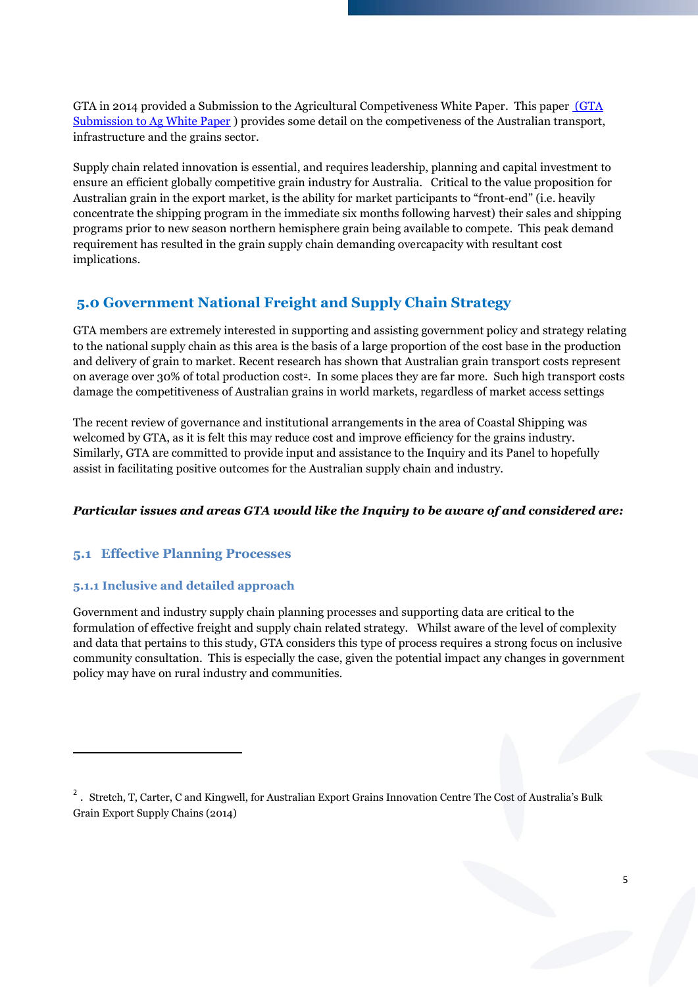GTA in 2014 provided a Submission to the Agricultural Competiveness White Paper. This paper [\(GTA](file:///C:/Users/ross.tma/Documents/tim%20documents%202015/GTA%20Transport/%20(GTA%20Submission%20to%20Ag%20White%20Paper)  [Submission to Ag White Paper](file:///C:/Users/ross.tma/Documents/tim%20documents%202015/GTA%20Transport/%20(GTA%20Submission%20to%20Ag%20White%20Paper) ) provides some detail on the competiveness of the Australian transport, infrastructure and the grains sector.

Supply chain related innovation is essential, and requires leadership, planning and capital investment to ensure an efficient globally competitive grain industry for Australia. Critical to the value proposition for Australian grain in the export market, is the ability for market participants to "front-end" (i.e. heavily concentrate the shipping program in the immediate six months following harvest) their sales and shipping programs prior to new season northern hemisphere grain being available to compete. This peak demand requirement has resulted in the grain supply chain demanding overcapacity with resultant cost implications.

## <span id="page-5-0"></span>**5.0 Government National Freight and Supply Chain Strategy**

GTA members are extremely interested in supporting and assisting government policy and strategy relating to the national supply chain as this area is the basis of a large proportion of the cost base in the production and delivery of grain to market. Recent research has shown that Australian grain transport costs represent on average over 30% of total production cost2. In some places they are far more. Such high transport costs damage the competitiveness of Australian grains in world markets, regardless of market access settings

The recent review of governance and institutional arrangements in the area of Coastal Shipping was welcomed by GTA, as it is felt this may reduce cost and improve efficiency for the grains industry. Similarly, GTA are committed to provide input and assistance to the Inquiry and its Panel to hopefully assist in facilitating positive outcomes for the Australian supply chain and industry.

#### *Particular issues and areas GTA would like the Inquiry to be aware of and considered are:*

#### <span id="page-5-1"></span>**5.1 Effective Planning Processes**

#### <span id="page-5-2"></span>**5.1.1 Inclusive and detailed approach**

 $\overline{\phantom{a}}$ 

Government and industry supply chain planning processes and supporting data are critical to the formulation of effective freight and supply chain related strategy. Whilst aware of the level of complexity and data that pertains to this study, GTA considers this type of process requires a strong focus on inclusive community consultation. This is especially the case, given the potential impact any changes in government policy may have on rural industry and communities.

<sup>&</sup>lt;sup>2</sup>. Stretch, T, Carter, C and Kingwell, for Australian Export Grains Innovation Centre The Cost of Australia's Bulk Grain Export Supply Chains (2014)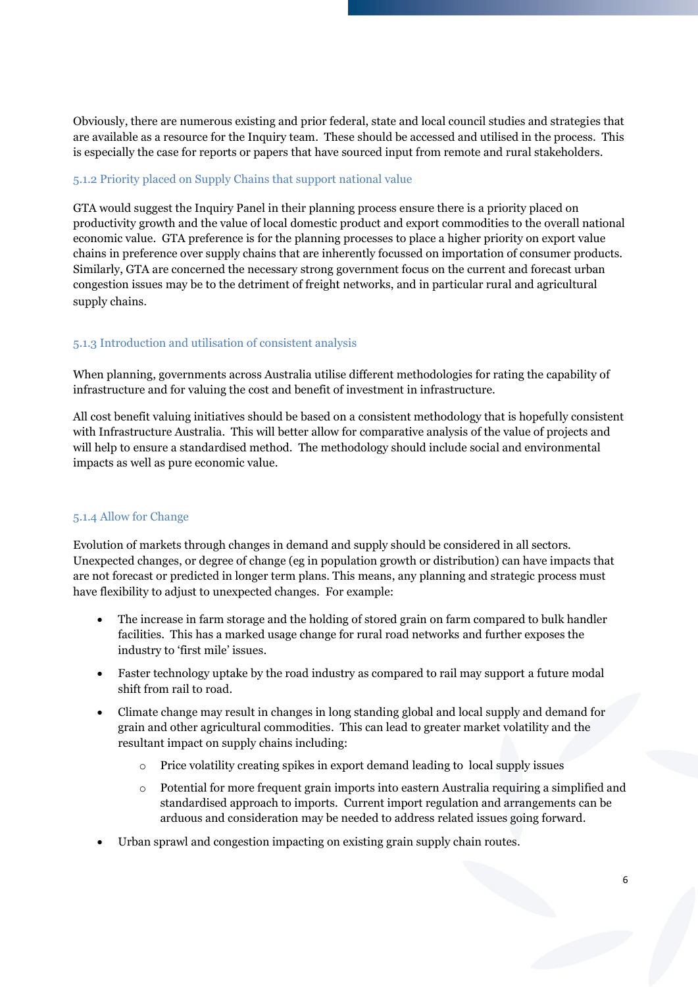Obviously, there are numerous existing and prior federal, state and local council studies and strategies that are available as a resource for the Inquiry team. These should be accessed and utilised in the process. This is especially the case for reports or papers that have sourced input from remote and rural stakeholders.

#### <span id="page-6-0"></span>5.1.2 Priority placed on Supply Chains that support national value

GTA would suggest the Inquiry Panel in their planning process ensure there is a priority placed on productivity growth and the value of local domestic product and export commodities to the overall national economic value. GTA preference is for the planning processes to place a higher priority on export value chains in preference over supply chains that are inherently focussed on importation of consumer products. Similarly, GTA are concerned the necessary strong government focus on the current and forecast urban congestion issues may be to the detriment of freight networks, and in particular rural and agricultural supply chains.

#### <span id="page-6-1"></span>5.1.3 Introduction and utilisation of consistent analysis

When planning, governments across Australia utilise different methodologies for rating the capability of infrastructure and for valuing the cost and benefit of investment in infrastructure.

All cost benefit valuing initiatives should be based on a consistent methodology that is hopefully consistent with Infrastructure Australia. This will better allow for comparative analysis of the value of projects and will help to ensure a standardised method. The methodology should include social and environmental impacts as well as pure economic value.

#### <span id="page-6-2"></span>5.1.4 Allow for Change

Evolution of markets through changes in demand and supply should be considered in all sectors. Unexpected changes, or degree of change (eg in population growth or distribution) can have impacts that are not forecast or predicted in longer term plans. This means, any planning and strategic process must have flexibility to adjust to unexpected changes. For example:

- The increase in farm storage and the holding of stored grain on farm compared to bulk handler facilities. This has a marked usage change for rural road networks and further exposes the industry to 'first mile' issues.
- Faster technology uptake by the road industry as compared to rail may support a future modal shift from rail to road.
- Climate change may result in changes in long standing global and local supply and demand for grain and other agricultural commodities. This can lead to greater market volatility and the resultant impact on supply chains including:
	- o Price volatility creating spikes in export demand leading to local supply issues
	- o Potential for more frequent grain imports into eastern Australia requiring a simplified and standardised approach to imports. Current import regulation and arrangements can be arduous and consideration may be needed to address related issues going forward.
- Urban sprawl and congestion impacting on existing grain supply chain routes.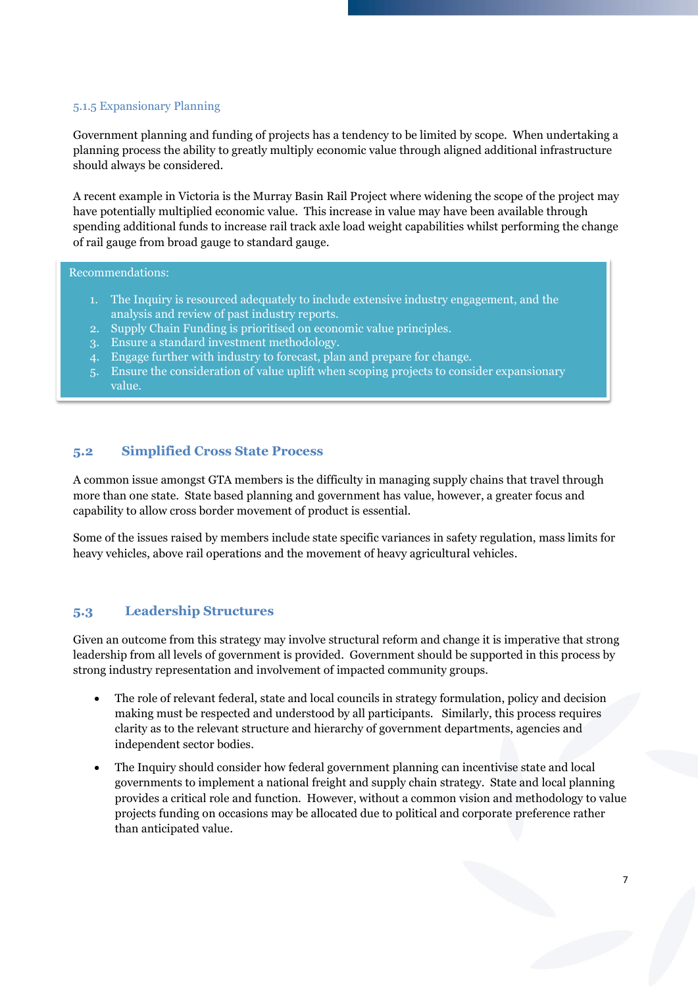#### <span id="page-7-0"></span>5.1.5 Expansionary Planning

Government planning and funding of projects has a tendency to be limited by scope. When undertaking a planning process the ability to greatly multiply economic value through aligned additional infrastructure should always be considered.

A recent example in Victoria is the Murray Basin Rail Project where widening the scope of the project may have potentially multiplied economic value. This increase in value may have been available through spending additional funds to increase rail track axle load weight capabilities whilst performing the change of rail gauge from broad gauge to standard gauge.

#### Recommendations:

- 1. The Inquiry is resourced adequately to include extensive industry engagement, and the analysis and review of past industry reports.
- 2. Supply Chain Funding is prioritised on economic value principles.
- 3. Ensure a standard investment methodology.
- 4. Engage further with industry to forecast, plan and prepare for change.
- 5. Ensure the consideration of value uplift when scoping projects to consider expansionary value.

#### <span id="page-7-1"></span>**5.2 Simplified Cross State Process**

A common issue amongst GTA members is the difficulty in managing supply chains that travel through more than one state. State based planning and government has value, however, a greater focus and capability to allow cross border movement of product is essential.

Some of the issues raised by members include state specific variances in safety regulation, mass limits for heavy vehicles, above rail operations and the movement of heavy agricultural vehicles.

#### <span id="page-7-2"></span>**5.3 Leadership Structures**

Given an outcome from this strategy may involve structural reform and change it is imperative that strong leadership from all levels of government is provided. Government should be supported in this process by strong industry representation and involvement of impacted community groups.

- The role of relevant federal, state and local councils in strategy formulation, policy and decision making must be respected and understood by all participants. Similarly, this process requires clarity as to the relevant structure and hierarchy of government departments, agencies and independent sector bodies.
- The Inquiry should consider how federal government planning can incentivise state and local governments to implement a national freight and supply chain strategy. State and local planning provides a critical role and function. However, without a common vision and methodology to value projects funding on occasions may be allocated due to political and corporate preference rather than anticipated value.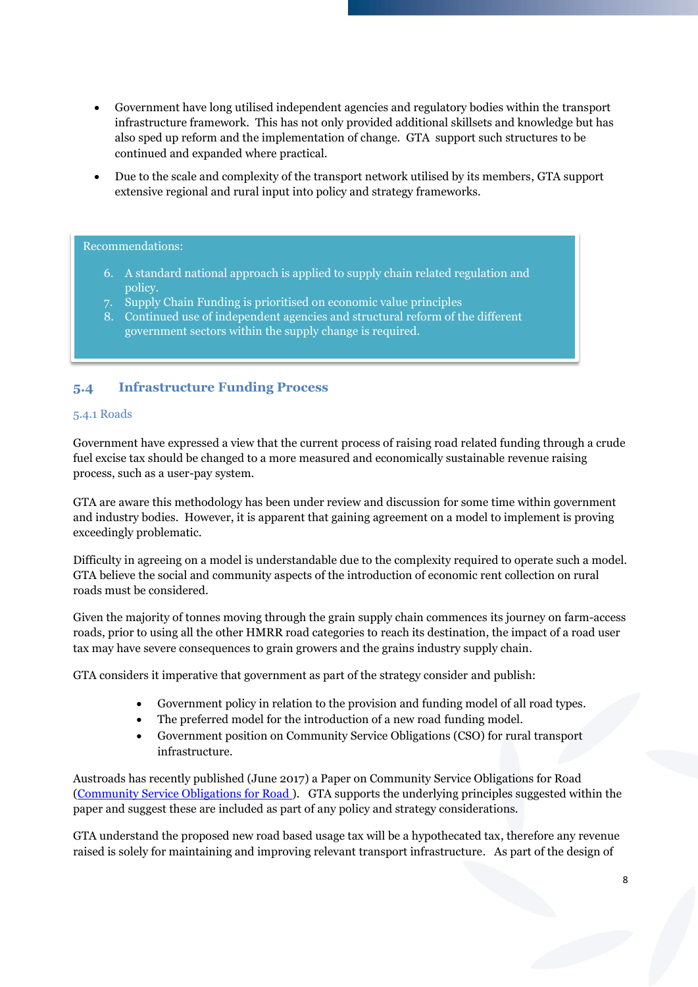- Government have long utilised independent agencies and regulatory bodies within the transport infrastructure framework. This has not only provided additional skillsets and knowledge but has also sped up reform and the implementation of change. GTA support such structures to be continued and expanded where practical.
- Due to the scale and complexity of the transport network utilised by its members, GTA support extensive regional and rural input into policy and strategy frameworks.

#### Recommendations:

- 6. A standard national approach is applied to supply chain related regulation and policy.
- 7. Supply Chain Funding is prioritised on economic value principles
- 8. Continued use of independent agencies and structural reform of the different government sectors within the supply change is required.

#### <span id="page-8-0"></span>**5.4 Infrastructure Funding Process**

#### <span id="page-8-1"></span>5.4.1 Roads

Government have expressed a view that the current process of raising road related funding through a crude fuel excise tax should be changed to a more measured and economically sustainable revenue raising process, such as a user-pay system.

GTA are aware this methodology has been under review and discussion for some time within government and industry bodies. However, it is apparent that gaining agreement on a model to implement is proving exceedingly problematic.

Difficulty in agreeing on a model is understandable due to the complexity required to operate such a model. GTA believe the social and community aspects of the introduction of economic rent collection on rural roads must be considered.

Given the majority of tonnes moving through the grain supply chain commences its journey on farm-access roads, prior to using all the other HMRR road categories to reach its destination, the impact of a road user tax may have severe consequences to grain growers and the grains industry supply chain.

GTA considers it imperative that government as part of the strategy consider and publish:

- Government policy in relation to the provision and funding model of all road types.
- The preferred model for the introduction of a new road funding model.
- Government position on Community Service Obligations (CSO) for rural transport infrastructure.

Austroads has recently published (June 2017) a Paper on Community Service Obligations for Road [\(Community Service Obligations for Road \)](http://www.austroads.com.au/news-events/item/432-community-service-obligations-framework-for-roads). GTA supports the underlying principles suggested within the paper and suggest these are included as part of any policy and strategy considerations.

GTA understand the proposed new road based usage tax will be a hypothecated tax, therefore any revenue raised is solely for maintaining and improving relevant transport infrastructure. As part of the design of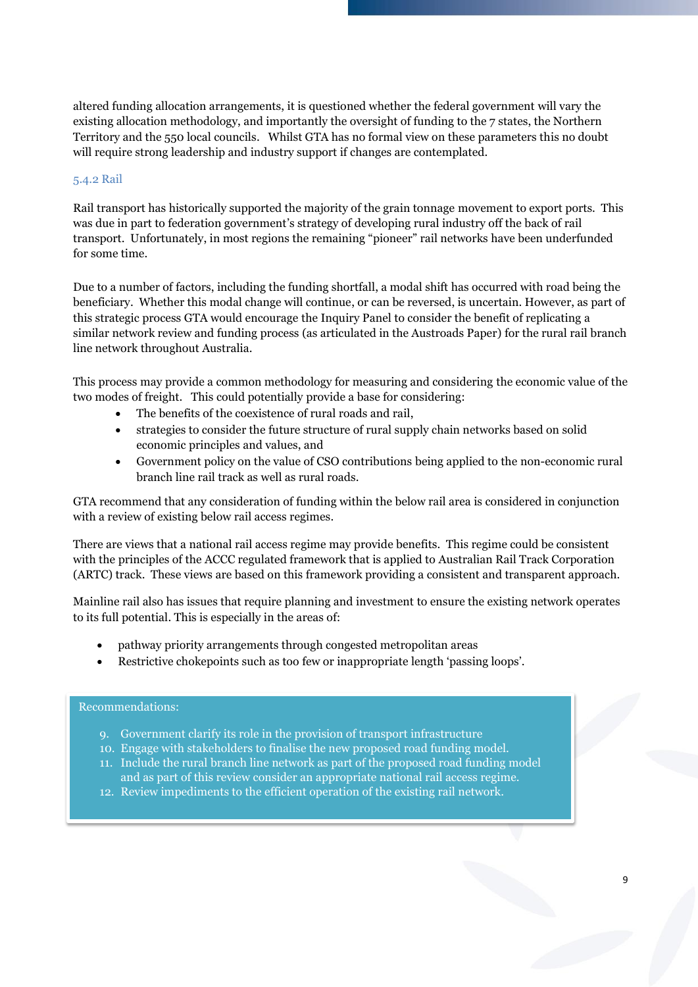altered funding allocation arrangements, it is questioned whether the federal government will vary the existing allocation methodology, and importantly the oversight of funding to the 7 states, the Northern Territory and the 550 local councils. Whilst GTA has no formal view on these parameters this no doubt will require strong leadership and industry support if changes are contemplated.

#### <span id="page-9-0"></span>5.4.2 Rail

Rail transport has historically supported the majority of the grain tonnage movement to export ports. This was due in part to federation government's strategy of developing rural industry off the back of rail transport. Unfortunately, in most regions the remaining "pioneer" rail networks have been underfunded for some time.

Due to a number of factors, including the funding shortfall, a modal shift has occurred with road being the beneficiary. Whether this modal change will continue, or can be reversed, is uncertain. However, as part of this strategic process GTA would encourage the Inquiry Panel to consider the benefit of replicating a similar network review and funding process (as articulated in the Austroads Paper) for the rural rail branch line network throughout Australia.

This process may provide a common methodology for measuring and considering the economic value of the two modes of freight. This could potentially provide a base for considering:

- The benefits of the coexistence of rural roads and rail,
- strategies to consider the future structure of rural supply chain networks based on solid economic principles and values, and
- Government policy on the value of CSO contributions being applied to the non-economic rural branch line rail track as well as rural roads.

GTA recommend that any consideration of funding within the below rail area is considered in conjunction with a review of existing below rail access regimes.

There are views that a national rail access regime may provide benefits. This regime could be consistent with the principles of the ACCC regulated framework that is applied to Australian Rail Track Corporation (ARTC) track. These views are based on this framework providing a consistent and transparent approach.

Mainline rail also has issues that require planning and investment to ensure the existing network operates to its full potential. This is especially in the areas of:

- pathway priority arrangements through congested metropolitan areas
- Restrictive chokepoints such as too few or inappropriate length 'passing loops'.

#### Recommendations:

- 9. Government clarify its role in the provision of transport infrastructure
- 10. Engage with stakeholders to finalise the new proposed road funding model.
- 11. Include the rural branch line network as part of the proposed road funding model and as part of this review consider an appropriate national rail access regime.
- 12. Review impediments to the efficient operation of the existing rail network.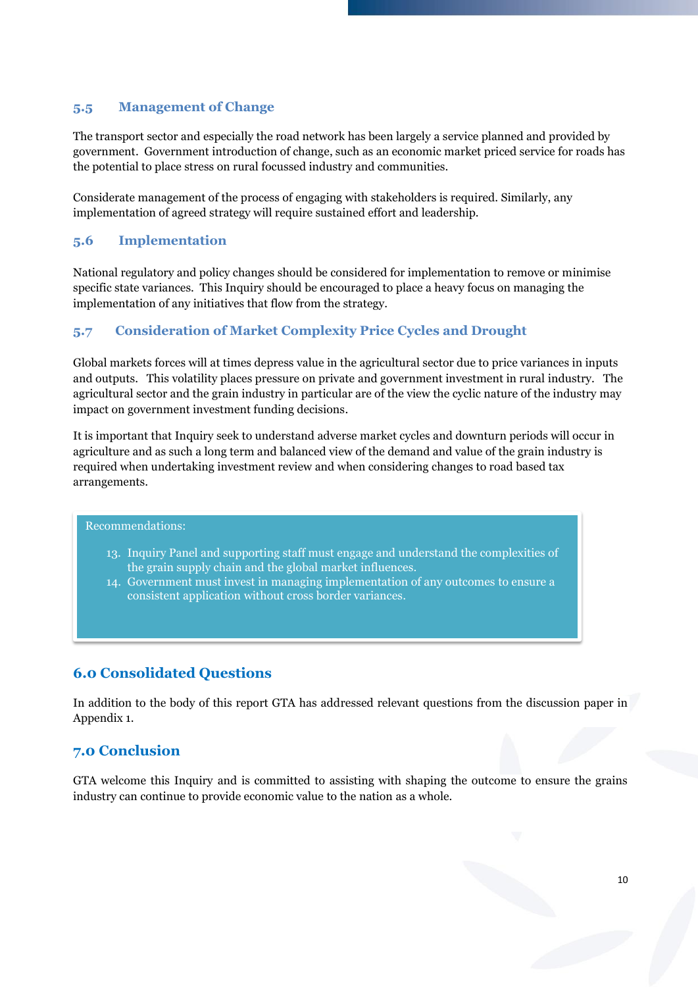#### <span id="page-10-0"></span>**5.5 Management of Change**

The transport sector and especially the road network has been largely a service planned and provided by government. Government introduction of change, such as an economic market priced service for roads has the potential to place stress on rural focussed industry and communities.

Considerate management of the process of engaging with stakeholders is required. Similarly, any implementation of agreed strategy will require sustained effort and leadership.

#### <span id="page-10-1"></span>**5.6 Implementation**

National regulatory and policy changes should be considered for implementation to remove or minimise specific state variances. This Inquiry should be encouraged to place a heavy focus on managing the implementation of any initiatives that flow from the strategy.

#### <span id="page-10-2"></span>**5.7 Consideration of Market Complexity Price Cycles and Drought**

Global markets forces will at times depress value in the agricultural sector due to price variances in inputs and outputs. This volatility places pressure on private and government investment in rural industry. The agricultural sector and the grain industry in particular are of the view the cyclic nature of the industry may impact on government investment funding decisions.

It is important that Inquiry seek to understand adverse market cycles and downturn periods will occur in agriculture and as such a long term and balanced view of the demand and value of the grain industry is required when undertaking investment review and when considering changes to road based tax arrangements.

#### Recommendations:

- 13. Inquiry Panel and supporting staff must engage and understand the complexities of the grain supply chain and the global market influences.
- 14. Government must invest in managing implementation of any outcomes to ensure a consistent application without cross border variances.

#### <span id="page-10-3"></span>**6.0 Consolidated Questions**

In addition to the body of this report GTA has addressed relevant questions from the discussion paper in Appendix 1.

#### <span id="page-10-4"></span>**7.0 Conclusion**

GTA welcome this Inquiry and is committed to assisting with shaping the outcome to ensure the grains industry can continue to provide economic value to the nation as a whole.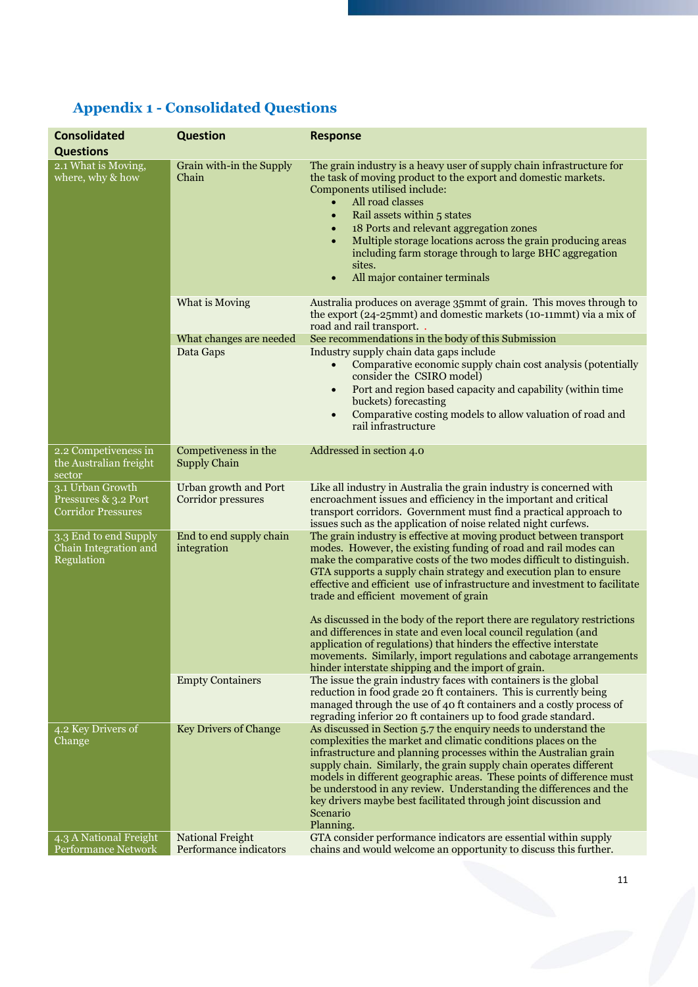| <b>Consolidated</b>                                            | <b>Question</b>                             | <b>Response</b>                                                                                                                                                                                                                                                                                                                                                                                                                                                                                                                                                                                                                                                                                                                                              |  |
|----------------------------------------------------------------|---------------------------------------------|--------------------------------------------------------------------------------------------------------------------------------------------------------------------------------------------------------------------------------------------------------------------------------------------------------------------------------------------------------------------------------------------------------------------------------------------------------------------------------------------------------------------------------------------------------------------------------------------------------------------------------------------------------------------------------------------------------------------------------------------------------------|--|
| <b>Questions</b>                                               |                                             |                                                                                                                                                                                                                                                                                                                                                                                                                                                                                                                                                                                                                                                                                                                                                              |  |
| 2.1 What is Moving,<br>where, why & how                        | Grain with-in the Supply<br>Chain           | The grain industry is a heavy user of supply chain infrastructure for<br>the task of moving product to the export and domestic markets.<br>Components utilised include:<br>All road classes<br>$\bullet$<br>Rail assets within 5 states<br>$\bullet$<br>18 Ports and relevant aggregation zones<br>$\bullet$<br>Multiple storage locations across the grain producing areas<br>including farm storage through to large BHC aggregation<br>sites.<br>All major container terminals<br>$\bullet$                                                                                                                                                                                                                                                               |  |
|                                                                | What is Moving                              | Australia produces on average 35mmt of grain. This moves through to<br>the export (24-25mmt) and domestic markets (10-11mmt) via a mix of<br>road and rail transport                                                                                                                                                                                                                                                                                                                                                                                                                                                                                                                                                                                         |  |
|                                                                | What changes are needed                     | See recommendations in the body of this Submission                                                                                                                                                                                                                                                                                                                                                                                                                                                                                                                                                                                                                                                                                                           |  |
|                                                                | Data Gaps                                   | Industry supply chain data gaps include<br>Comparative economic supply chain cost analysis (potentially<br>$\bullet$<br>consider the CSIRO model)<br>Port and region based capacity and capability (within time<br>$\bullet$<br>buckets) forecasting<br>Comparative costing models to allow valuation of road and<br>$\bullet$<br>rail infrastructure                                                                                                                                                                                                                                                                                                                                                                                                        |  |
| 2.2 Competiveness in<br>the Australian freight<br>sector       | Competiveness in the<br><b>Supply Chain</b> | Addressed in section 4.0                                                                                                                                                                                                                                                                                                                                                                                                                                                                                                                                                                                                                                                                                                                                     |  |
| 3.1 Urban Growth<br>Pressures & 3.2 Port<br>Corridor Pressures | Urban growth and Port<br>Corridor pressures | Like all industry in Australia the grain industry is concerned with<br>encroachment issues and efficiency in the important and critical<br>transport corridors. Government must find a practical approach to<br>issues such as the application of noise related night curfews.                                                                                                                                                                                                                                                                                                                                                                                                                                                                               |  |
| 3.3 End to end Supply<br>Chain Integration and<br>Regulation   | End to end supply chain<br>integration      | The grain industry is effective at moving product between transport<br>modes. However, the existing funding of road and rail modes can<br>make the comparative costs of the two modes difficult to distinguish.<br>GTA supports a supply chain strategy and execution plan to ensure<br>effective and efficient use of infrastructure and investment to facilitate<br>trade and efficient movement of grain<br>As discussed in the body of the report there are regulatory restrictions<br>and differences in state and even local council regulation (and<br>application of regulations) that hinders the effective interstate<br>movements. Similarly, import regulations and cabotage arrangements<br>hinder interstate shipping and the import of grain. |  |
|                                                                | <b>Empty Containers</b>                     | The issue the grain industry faces with containers is the global<br>reduction in food grade 20 ft containers. This is currently being<br>managed through the use of 40 ft containers and a costly process of<br>regrading inferior 20 ft containers up to food grade standard.                                                                                                                                                                                                                                                                                                                                                                                                                                                                               |  |
| 4.2 Key Drivers of<br>Change                                   | <b>Key Drivers of Change</b>                | As discussed in Section 5.7 the enquiry needs to understand the<br>complexities the market and climatic conditions places on the<br>infrastructure and planning processes within the Australian grain<br>supply chain. Similarly, the grain supply chain operates different<br>models in different geographic areas. These points of difference must<br>be understood in any review. Understanding the differences and the<br>key drivers maybe best facilitated through joint discussion and<br>Scenario<br>Planning.                                                                                                                                                                                                                                       |  |
| 4.3 A National Freight                                         | <b>National Freight</b>                     | GTA consider performance indicators are essential within supply                                                                                                                                                                                                                                                                                                                                                                                                                                                                                                                                                                                                                                                                                              |  |
| Performance Network                                            | Performance indicators                      | chains and would welcome an opportunity to discuss this further.                                                                                                                                                                                                                                                                                                                                                                                                                                                                                                                                                                                                                                                                                             |  |

# <span id="page-11-0"></span>**Appendix 1 - Consolidated Questions**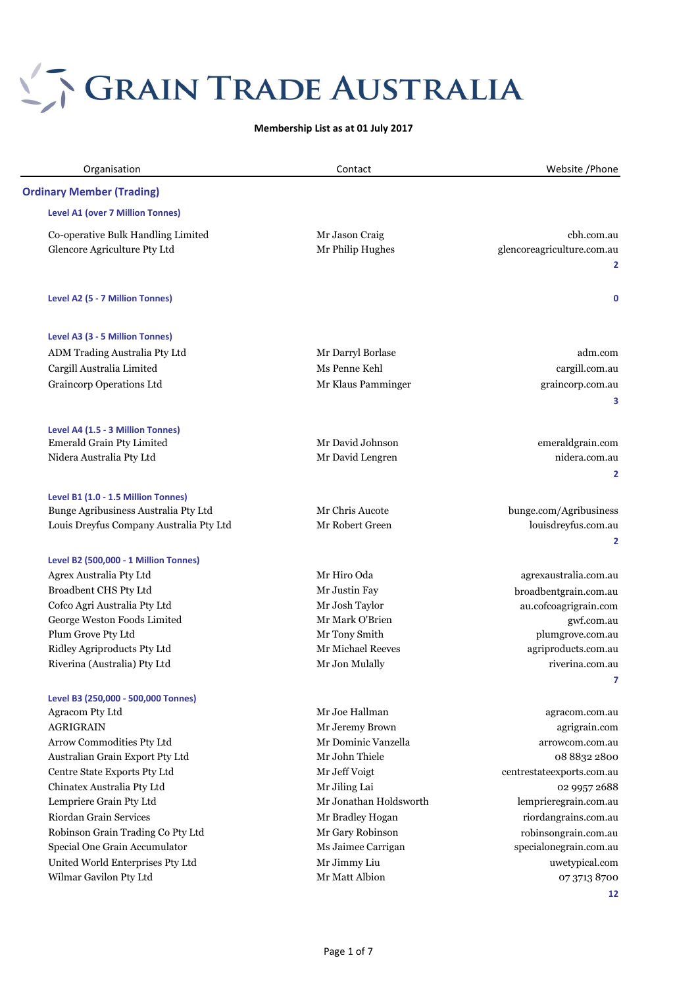# S GRAIN TRADE AUSTRALIA

**Membership List as at 01 July 2017**

| Organisation                                                       | Contact                                 | Website / Phone                                |
|--------------------------------------------------------------------|-----------------------------------------|------------------------------------------------|
| <b>Ordinary Member (Trading)</b>                                   |                                         |                                                |
| Level A1 (over 7 Million Tonnes)                                   |                                         |                                                |
| Co-operative Bulk Handling Limited                                 | Mr Jason Craig                          | cbh.com.au                                     |
| Glencore Agriculture Pty Ltd                                       | Mr Philip Hughes                        | glencoreagriculture.com.au                     |
|                                                                    |                                         | 2                                              |
| Level A2 (5 - 7 Million Tonnes)                                    |                                         | $\mathbf 0$                                    |
| Level A3 (3 - 5 Million Tonnes)                                    |                                         |                                                |
| ADM Trading Australia Pty Ltd                                      | Mr Darryl Borlase                       | adm.com                                        |
| Cargill Australia Limited                                          | Ms Penne Kehl                           | cargill.com.au                                 |
| <b>Graincorp Operations Ltd</b>                                    | Mr Klaus Pamminger                      | graincorp.com.au<br>3                          |
| Level A4 (1.5 - 3 Million Tonnes)                                  |                                         |                                                |
| Emerald Grain Pty Limited                                          | Mr David Johnson                        | emeraldgrain.com                               |
| Nidera Australia Pty Ltd                                           | Mr David Lengren                        | nidera.com.au                                  |
|                                                                    |                                         | 2                                              |
| Level B1 (1.0 - 1.5 Million Tonnes)                                |                                         |                                                |
| Bunge Agribusiness Australia Pty Ltd                               | Mr Chris Aucote                         | bunge.com/Agribusiness                         |
| Louis Dreyfus Company Australia Pty Ltd                            | Mr Robert Green                         | louisdreyfus.com.au                            |
|                                                                    |                                         | 2                                              |
| Level B2 (500,000 - 1 Million Tonnes)                              |                                         |                                                |
| Agrex Australia Pty Ltd                                            | Mr Hiro Oda                             | agrexaustralia.com.au                          |
| Broadbent CHS Pty Ltd                                              | Mr Justin Fay                           | broadbentgrain.com.au                          |
| Cofco Agri Australia Pty Ltd                                       | Mr Josh Taylor                          | au.cofcoagrigrain.com                          |
| George Weston Foods Limited<br>Plum Grove Pty Ltd                  | Mr Mark O'Brien<br>Mr Tony Smith        | gwf.com.au                                     |
| Ridley Agriproducts Pty Ltd                                        | Mr Michael Reeves                       | plumgrove.com.au<br>agriproducts.com.au        |
| Riverina (Australia) Pty Ltd                                       | Mr Jon Mulally                          | riverina.com.au                                |
|                                                                    |                                         | 7                                              |
| Level B3 (250,000 - 500,000 Tonnes)                                |                                         |                                                |
| Agracom Pty Ltd                                                    | Mr Joe Hallman                          | agracom.com.au                                 |
| <b>AGRIGRAIN</b>                                                   | Mr Jeremy Brown                         | agrigrain.com                                  |
| Arrow Commodities Pty Ltd                                          | Mr Dominic Vanzella                     | arrowcom.com.au                                |
| Australian Grain Export Pty Ltd                                    | Mr John Thiele                          | 08 8832 2800                                   |
| Centre State Exports Pty Ltd                                       | Mr Jeff Voigt                           | centrestateexports.com.au                      |
| Chinatex Australia Pty Ltd                                         | Mr Jiling Lai<br>Mr Jonathan Holdsworth | 02 9957 2688                                   |
| Lempriere Grain Pty Ltd<br>Riordan Grain Services                  |                                         | lemprieregrain.com.au                          |
|                                                                    | Mr Bradley Hogan                        | riordangrains.com.au                           |
| Robinson Grain Trading Co Pty Ltd<br>Special One Grain Accumulator | Mr Gary Robinson<br>Ms Jaimee Carrigan  | robinsongrain.com.au<br>specialonegrain.com.au |
| United World Enterprises Pty Ltd                                   | Mr Jimmy Liu                            | uwetypical.com                                 |
| Wilmar Gavilon Pty Ltd                                             | Mr Matt Albion                          | 07 3713 8700                                   |
|                                                                    |                                         | 12                                             |
|                                                                    |                                         |                                                |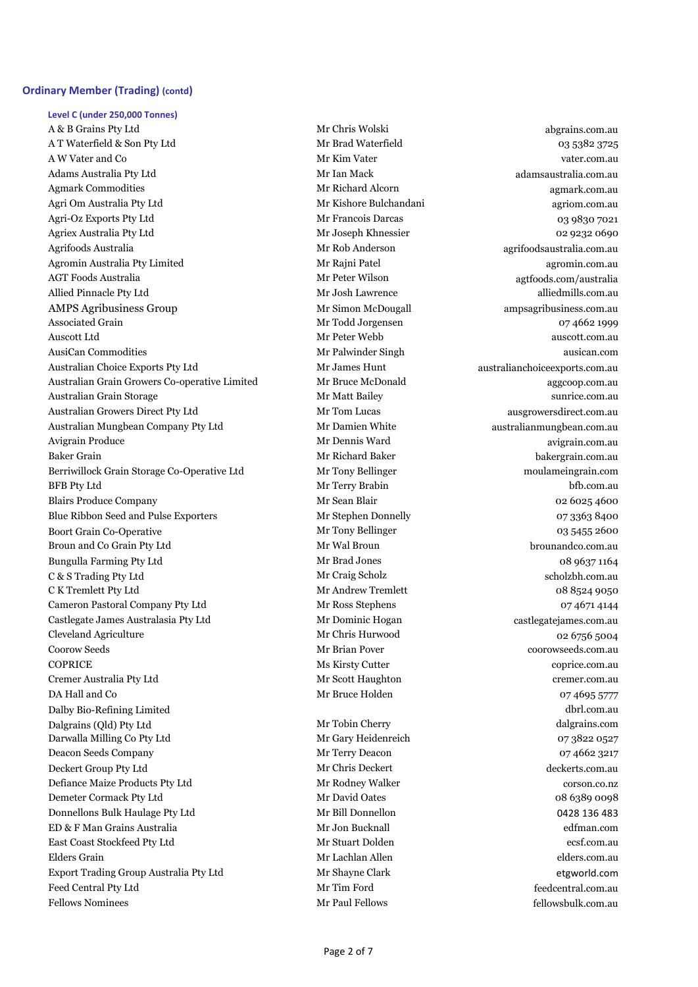#### **Ordinary Member (Trading) (contd)**

**Level C (under 250,000 Tonnes)** A & B Grains Pty Ltd abgrains.com.au Mr Chris Wolski abgrains.com.au A T Waterfield & Son Pty Ltd and Mr Brad Waterfield 2003 5382 3725 A W Vater and Co **Mr Kim Vater** Vater values and Co **Mr Kim Vater** vater.com.au Adams Australia Pty Ltd **Mr Ian Mack adams Australia.com.au** Agmark Commodities and the commodities agmark.com.au agmark.com.au agmark.com.au agmark.com.au agmark.com.au Agri Om Australia Pty Ltd **Mr Kishore Bulchandani** agriom.com.au agriom.com.au agriom.com.au agriom.com.au agriom Agri-Oz Exports Pty Ltd **Mr Francois Darcas** 19830 7021 Agriex Australia Pty Ltd Mr Joseph Khnessier 02 9232 0690 Agrifoods Australia and a matematic Mr Rob Anderson and agrifoodsaustralia.com.au Agromin Australia Pty Limited Mr Rajni Patel agromin.com.au AGT Foods Australia Mr Peter Wilson agtfoods.com/australia Allied Pinnacle Pty Ltd **Mr Josh Lawrence** alliedmills.com.au alliedmills.com.au alliedmills.com.au AMPS Agribusiness Group ampsagribusiness.com.au Mr Simon McDougall ampsagribusiness.com.au Associated Grain and Communication of the Mr Todd Jorgensen and Communication of 4662 1999 Auscott Ltd Mr Peter Webb auscott.com.au AusiCan Commodities **AusiCan Commodities Mr Palwinder Singh ausican.com** ausican.com Australian Choice Exports Pty Ltd Mr James Hunt australianchoiceexports.com.au Australian Grain Growers Co-operative Limited Mr Bruce McDonald aggcoop.com.au Australian Grain Storage Mr Matt Bailey sunrice.com.au Australian Growers Direct Pty Ltd Mr Tom Lucas ausgrowersdirect.com.au ausgrowers of the Mr Tom Lucas ausgrowers of the Mr Tom Lucas ausgrowers of the Mr Tom Lucas ausgrowers of the Mr Tom Lucas ausgrowers of the Mr Tom Lu Australian Mungbean Company Pty Ltd Mr Damien White australianmungbean.com.au Avigrain Produce and Avigrain Community of Mr Dennis Ward avigrain.com.au Baker Grain Theorem 2012 States of Mr Richard Baker Baker bakergrain.com.au bakergrain.com.au Berriwillock Grain Storage Co-Operative Ltd Mr Tony Bellinger moulameingrain.com BFB Pty Ltd bfb.com.au bfb.com.au Mr Terry Brabin bfb.com.au bfb.com.au bfb.com.au Blairs Produce Company **Mr Sean Blair** Mr Sean Blair **1986** 602 6025 4600 Blue Ribbon Seed and Pulse Exporters Mr Stephen Donnelly 07 3363 8400 Boort Grain Co-Operative **Mr Tony Bellinger** Mr Tony Bellinger and Company of the Contract of the Contract of the Contract of the Contract of the Contract of the Contract of the Contract of the Contract of the Contract of Broun and Co Grain Pty Ltd Mr Wal Broun broundco.com.au brounandco.com.au brounandco.com.au Bungulla Farming Pty Ltd **Mr Brad Jones** Mr Brad Jones 68 9637 1164 C & S Trading Pty Ltd **Mr Craig Scholz** Scholzbh.com.au Scholzbh.com.au Scholzbh.com.au Scholzbh.com.au Scholzbh.com.au Scholzbh.com.au Scholzbh.com.au Scholzbh.com.au Scholzbh.com.au Scholzbh.com.au Scholzbh.com.au Scholz C K Tremlett Pty Ltd Mr Andrew Tremlett 08 8524 9050 Cameron Pastoral Company Pty Ltd Mr Ross Stephens 07 4671 4144 Castlegate James Australasia Pty Ltd Mr Dominic Hogan castlegatejames.com.au Cleveland Agriculture and the Mr Chris Hurwood and the contract of the General Agriculture of the Mr Chris Hurwood of the General Agriculture of the Mr Chris Hurwood of the General Agriculture of the Mr Chris Hurwood of th Coorow Seeds Mr Brian Pover coorowseeds.com.au COPRICE Ms Kirsty Cutter Coprice.com.au coprice.com.au models Cremer Australia Pty Ltd Mr Scott Haughton cremer.com.au DA Hall and Co **Mr Bruce Holden** 1986 6777 674695 5777 Dalby Bio-Refining Limited dbrl.com.au Dalgrains (Qld) Pty Ltd Mr Tobin Cherry dalgrains.com Darwalla Milling Co Pty Ltd Mr Gary Heidenreich 07 3822 0527 Deacon Seeds Company Mr Terry Deacon 07 4662 3217 Deckert Group Pty Ltd Mr Chris Deckert Mr Chris Deckert deckerts.com.au Defiance Maize Products Pty Ltd Mr Rodney Walker corson.co.nz Demeter Cormack Pty Ltd **Mr David Oates** Mr David Oates 68 6389 0098 Donnellons Bulk Haulage Pty Ltd Mr Bill Donnellon 0428 136 483 ED & F Man Grains Australia Mr Jon Bucknall edfman.com East Coast Stockfeed Pty Ltd Mr Stuart Dolden ecsf.com.au Elders Grain Mr Lachlan Allen elders.com.au Export Trading Group Australia Pty Ltd Mr Shayne Clark etgworld.com Feed Central Pty Ltd Mr Tim Ford feedcentral.com.au Fellows Nominees Mr Paul Fellows [fellowsbulk.com.au](http://www.fellowsbulk.com.au/)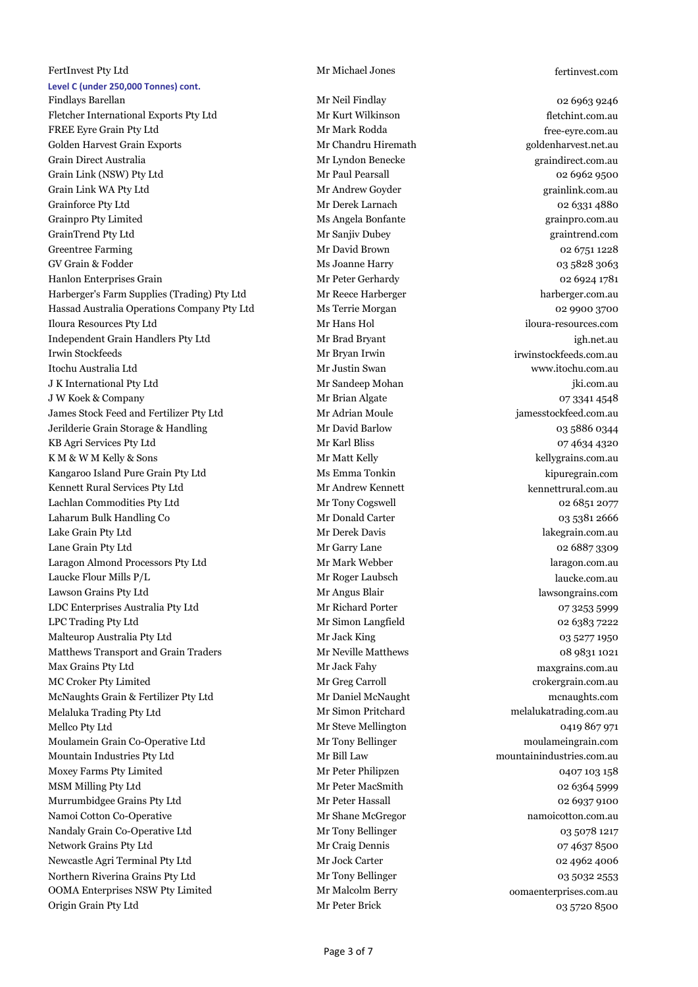#### FertInvest Pty Ltd Mr Michael Jones fertinvest.com **Level C (under 250,000 Tonnes) cont.**

Findlays Barellan **Findlay** Mr Neil Findlay Mr Neil Findlay 62 6963 9246 Fletcher International Exports Pty Ltd Mr Kurt Wilkinson Mr Kurt Wilkinson fletchint.com.au FREE Eyre Grain Pty Ltd **Mr Mark Rodda** Mr Mark Rodda free-eyre.com.au Golden Harvest Grain Exports The Chandru Hiremath Golden Harvest Grain Exports Grain Exports Grain Goldenharvest.net.au Grain Direct Australia Mr Lyndon Benecke graindirect.com.au Grain Link (NSW) Pty Ltd **Mr Paul Pearsall** Grain Link (NSW) Pty Ltd Grain Link WA Pty Ltd **Mr Andrew Goyder** Grain Communication and Mr Andrew Goyder **grainlink.com.au** Grainforce Pty Ltd **Calculation Community Community** Mr Derek Larnach **Community Community Community Community** Community Community Community Community Community Community Community Community Community Community Community Grainpro Pty Limited **Ms Angela Bonfante** and Ms Angela Bonfante grainpro.com.au GrainTrend Pty Ltd Mr Sanjiv Dubey graintrend.com Greentree Farming **Mr David Brown** Mr David Brown **02 6751 1228** GV Grain & Fodder **Ms Joanne Harry 63 5828 3063** 63 5828 3063 Hanlon Enterprises Grain and Mr Peter Gerhardy 1981 Manual Meter Gerhardy 1981 1981 Harberger's Farm Supplies (Trading) Pty Ltd Mr Reece Harberger harberger.com.au Hassad Australia Operations Company Pty Ltd Ms Terrie Morgan and Dubbase of 2 9900 3700 Iloura Resources Pty Ltd Mr Hans Hol iloura-resources.com Independent Grain Handlers Pty Ltd Mr Brad Bryant igh.net.au Irwin Stockfeeds Mr Bryan Irwin irwinstockfeeds.com.au Itochu Australia Ltd Mr Justin Swan www.itochu.com.au J K International Pty Ltd Mr Sandeep Mohan jki.com.au J W Koek & Company 1988 and 2008 Mr Brian Algate 1988 and 2008 and 2008 and 2008 and 2008 and 2008 and 2008 and 2008 and 2008 and 2008 and 2008 and 2008 and 2008 and 2008 and 2008 and 2008 and 2008 and 2008 and 2008 and 20 James Stock Feed and Fertilizer Pty Ltd Mr Adrian Moule jamesstockfeed.com.au Jerilderie Grain Storage & Handling Mr David Barlow 03 5886 0344 KB Agri Services Pty Ltd Mr Karl Bliss 67 4634 4320 K M & W M Kelly & Sons The Matt Kelly Mr Matt Kelly kellygrains.com.au kellygrains.com.au Kangaroo Island Pure Grain Pty Ltd Ms Emma Tonkin kipuregrain.com Kennett Rural Services Pty Ltd Mr Andrew Kennett Mexicom.au (Andrew Kennett Museum Andrew Kennettrural.com.au Lachlan Commodities Pty Ltd Mr Tony Cogswell 62 6851 2077 Laharum Bulk Handling Co **Mr Donald Carter 1996** 12666 1381 2666 Lake Grain Pty Ltd **Example 2018** Mr Derek Davis and Mr Derek Davis and Mr Derek Davis and Mr Derek Davis and Mr Derek Davis and Mr Derek Davis and Mr Derek Davis and Mr Derek Davis and Mr Derek Davis and Mr Derek Davis an Lane Grain Pty Ltd **Mr Garry Lane** Mr Garry Lane 1999 and 1999 and 1999 and 1999 and 1999 and 1999 and 1999 and 1 Laragon Almond Processors Pty Ltd Mr Mark Webber laragon.com.au Laucke Flour Mills P/L Mr Roger Laubsch laucke.com.au Lawson Grains Pty Ltd Mr Angus Blair lawsongrains.com LDC Enterprises Australia Pty Ltd Mr Richard Porter 07 3253 5999 LPC Trading Pty Ltd **Mr Simon Langfield** 02 6383 7222 Malteurop Australia Pty Ltd Mr Jack King 03 5277 1950 Matthews Transport and Grain Traders Mr Neville Matthews 1989 1021 Max Grains Pty Ltd Mr Jack Fahy maxgrains.com.au MC Croker Pty Limited **Mr Greg Carroll** Mr Greg Carroll crokergrain.com.au McNaughts Grain & Fertilizer Pty Ltd Mr Daniel McNaught mcnaughts.com Melaluka Trading Pty Ltd Mr Simon Pritchard melalukatrading.com.au Mellco Pty Ltd Mr Steve Mellington 0419 867 971 Moulamein Grain Co-Operative Ltd Mr Tony Bellinger moulameingrain.com Mountain Industries Pty Ltd Mr Bill Law mountainindustries.com.au Moxey Farms Pty Limited Mr Peter Philipzen Mr Peter Philipzen 0407 103 158 MSM Milling Pty Ltd Mr Peter MacSmith 02 6364 5999 Murrumbidgee Grains Pty Ltd Mr Peter Hassall and Mr Peter Hassall and Decking the Company of the O2 6937 9100 Namoi Cotton Co-Operative Mr Shane McGregor namoicotton.com.au namoicotton.com.au namoicotton.com.au Nandaly Grain Co-Operative Ltd Mr Tony Bellinger Mandaly Grain Co-Operative Ltd Mr Tony Bellinger 03 5078 1217 Network Grains Pty Ltd Mr Craig Dennis 07 4637 8500 Newcastle Agri Terminal Pty Ltd Mr Jock Carter 1992 19962 4006 Northern Riverina Grains Pty Ltd Mr Tony Bellinger 03 5032 2553 OOMA Enterprises NSW Pty Limited Mr Malcolm Berry oomaenterprises.com.au Origin Grain Pty Ltd **Mr Peter Brick** Mr Peter Brick **03 5720 8500**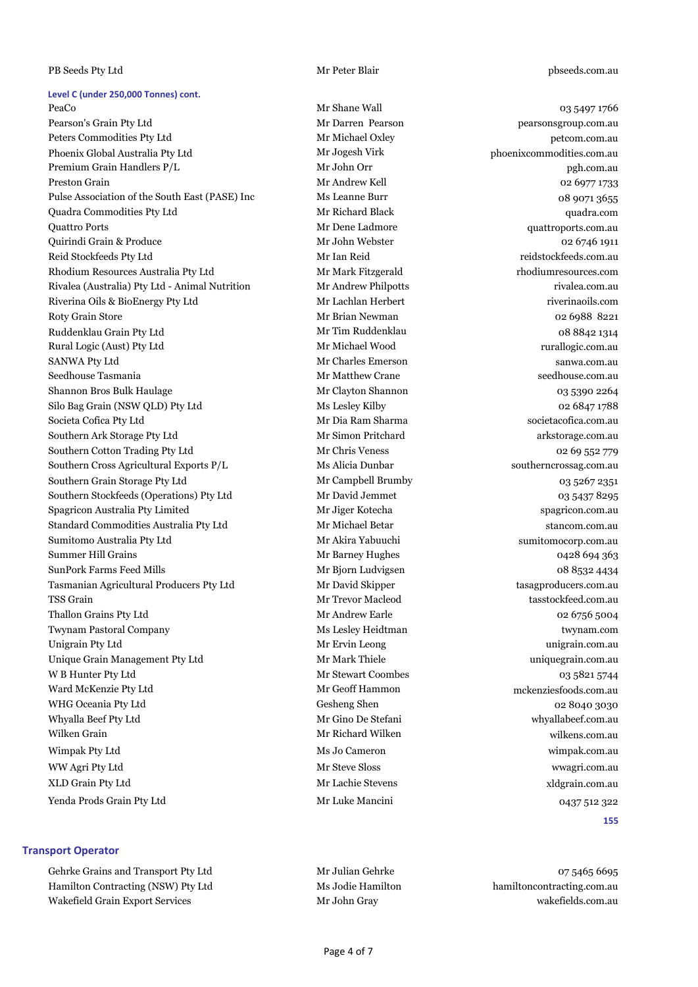#### PB Seeds Pty Ltd **Drama** Mr Peter Blair **phseeds.com.au**

#### **Level C (under 250,000 Tonnes) cont.**

PeaCo **Mr Shane Wall** 03 5497 1766 Pearson's Grain Pty Ltd Mr Darren Pearson pearsonsgroup.com.au Peters Commodities Pty Ltd Mr Michael Oxley petcom.com.au petcom.com.au petcom.com.au petcom.com.au petcom.com.au Phoenix Global Australia Pty Ltd Mr Jogesh Virk phoenixcommodities.com.au Premium Grain Handlers P/L Mr John Orr **Mr John Orr** pgh.com.au Preston Grain and Communication of the Mr Andrew Kell Communication of the Communication of the Communication of the Communication of the Communication of the Communication of the Communication of the Communication of the Pulse Association of the South East (PASE) Inc Ms Leanne Burr 08 9071 3655 Quadra Commodities Pty Ltd Mr Richard Black quadra.com Quattro Ports Mr Dene Ladmore quattroports.com.au Quirindi Grain & Produce Mr John Webster 02 6746 1911 Reid Stockfeeds Pty Ltd Mr Ian Reid reidstockfeeds.com.au Rhodium Resources Australia Pty Ltd Mr Mark Fitzgerald rhodiumresources.com Rivalea (Australia) Pty Ltd - Animal Nutrition Mr Andrew Philpotts rivalea.com.au Riverina Oils & BioEnergy Pty Ltd Mr Lachlan Herbert riverinaoils.com Roty Grain Store **Mr Brian Newman** Mexico and Mr Brian Newman 62 6988 8221 Ruddenklau Grain Pty Ltd Mr Tim Ruddenklau 08 8842 1314 Rural Logic (Aust) Pty Ltd Mr Michael Wood rurallogic.com.au automatic Mr Michael Wood rurallogic.com.au SANWA Pty Ltd **SANWA Proposed Arrangement Charles Emerson** Sanwa.com.au Sanwa.com.au Seedhouse Tasmania Mr Matthew Crane seedhouse.com.au Shannon Bros Bulk Haulage **Mr Clayton Shannon 1986** 03 5390 2264 Silo Bag Grain (NSW QLD) Pty Ltd Ms Lesley Kilby Ms Lesley Kilby 02 6847 1788 Societa Cofica Pty Ltd **Mr Dia Ram Sharma** societacofica.com.au societacofica.com.au societacofica.com.au Southern Ark Storage Pty Ltd **Mr Simon Pritchard arkstorage.com.au** arkstorage.com.au Southern Cotton Trading Pty Ltd Mr Chris Veness 02 69 552 779 Southern Cross Agricultural Exports P/L Ms Alicia Dunbar southerncrossag.com.au southerncrossag.com.au Southern Grain Storage Pty Ltd Mr Campbell Brumby 03 5267 2351 Southern Stockfeeds (Operations) Pty Ltd Mr David Jemmet 03 5437 8295 Spagricon Australia Pty Limited Mr Jiger Kotecha spagricon.com.au Standard Commodities Australia Pty Ltd Mr Michael Betar Standard Commodities Australia Pty Ltd Mr Michael Betar Sumitomo Australia Pty Ltd Mr Akira Yabuuchi sumitomocorp.com.au Summer Hill Grains **Mr Barney Hughes** Mr Barney Hughes 694 363 SunPork Farms Feed Mills Mr Bjorn Ludvigsen 08 8532 4434 Tasmanian Agricultural Producers Pty Ltd Mr David Skipper tasagproducers.com.au TSS Grain Mr Trevor Macleod tasstockfeed.com.au Thallon Grains Pty Ltd **Mr Andrew Earle** Mr Andrew Earle **1986** 62 6756 5004 Twynam Pastoral Company Ms Lesley Heidtman twynam.com Unigrain Pty Ltd **Example 2018** Mr Ervin Leong **Contract Contract Contract Contract Contract Contract Contract Contract Contract Contract Contract Contract Contract Contract Contract Contract Contract Contract Contract Con** Unique Grain Management Pty Ltd Mr Mark Thiele metals are uniquegrain.com.au W B Hunter Pty Ltd **Mr Stewart Coombes** 63 5821 5744 Ward McKenzie Pty Ltd **Mr Geoff Hammon** Mr Geoff Hammon mckenziesfoods.com.au WHG Oceania Pty Ltd Gesheng Shen 02 8040 3030 Whyalla Beef Pty Ltd **Mr Gino De Stefani** whyallabeef.com.au whyallabeef.com.au whyallabeef.com.au Wilken Grain and Mr Richard Wilken wilkens.com.au wilkens.com.au wilkens.com.au Wimpak Pty Ltd **Ms Jo Cameron** Ms Jo Cameron wimpak.com.au WW Agri Pty Ltd **Mr Steve Sloss** Mr Steve Sloss and Mr Steve Sloss wwagri.com.au XLD Grain Pty Ltd Mr Lachie Stevens xldgrain.com.au Yenda Prods Grain Pty Ltd **Mr Luke Mancini** Mr Luke Mancini 0437 512 322

#### **Transport Operator**

Gehrke Grains and Transport Pty Ltd Mr Julian Gehrke 675465 6695 Hamilton Contracting (NSW) Pty Ltd Ms Jodie Hamilton hamiltoncontracting.com.au Wakefield Grain Export Services Mr John Gray Mr John Gray wakefields.com.au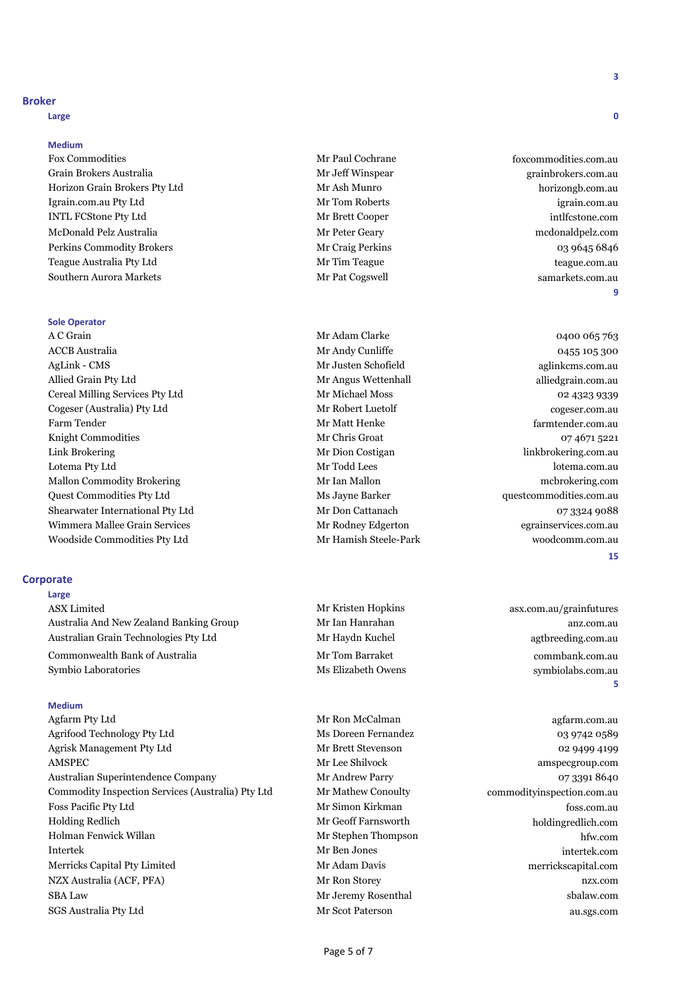#### **Broker**

**Large 0**

#### **Medium**

Fox Commodities **Fox** Commodities **and Cochrane Mr Paul Cochrane** for the foxcommodities.com.au Grain Brokers Australia Mr Jeff Winspear grainbrokers.com.au Horizon Grain Brokers Pty Ltd Mr Ash Munro horizongb.com.au Igrain.com.au Pty Ltd Mr Tom Roberts igrain.com.au INTL FCStone Pty Ltd Mr Brett Cooper intlfcstone.com McDonald Pelz Australia Mr Peter Geary mcdonaldpelz.com Perkins Commodity Brokers and the commodity Brokers Mr Craig Perkins and the commodity Brokers and the commodity Brokers and Mr Craig Perkins and the commodity Brokers and the commodity Brokers and the commodity Brokers an Teague Australia Pty Ltd Mr Tim Teague teague.com.au Southern Aurora Markets **Mr Pat Cogswell** Mr Pat Cogswell samarkets.com.au samarkets.com.au

#### **Sole Operator**

A C Grain and A C Grain Clarke 2012 Mr Adam Clarke 2014 04:00 065 763 ACCB Australia and the control of the Mr Andy Cunliffe and the control of the control of the control of the control of the control of the control of the control of the control of the control of the control of the control o AgLink - CMS Mr Justen Schofield aglinkcms.com.au Allied Grain Pty Ltd Mr Angus Wettenhall alliedgrain.com.au Cereal Milling Services Pty Ltd Mr Michael Moss and Mr Michael Moss of the Mr Michael Moss of the Mr Michael Moss of the Mr Michael Moss of the Mr Michael Moss of the Mr Michael Moss of the Mr Michael Moss of the Mr Michae Cogeser (Australia) Pty Ltd Mr Robert Luetolf Cogeser.com.au Farm Tender Mr Matt Henke farmtender.com.au Knight Commodities **Mr Chris Groat** 1974 671 5221 Link Brokering **Mr Dion Costigan** Mr Dion Costigan linkbrokering.com.au Lotema Pty Ltd Mr Todd Lees lotema.com.au Mr Ian Mallon Commodity Brokering Mr Ian Mallon mcbrokering.com Quest Commodities Pty Ltd Ms Jayne Barker questcommodities.com.au Shearwater International Pty Ltd Mr Don Cattanach 07 3324 9088 Wimmera Mallee Grain Services and Mr Rodney Edgerton and the egrainservices.com.au Woodside Commodities Pty Ltd Mr Hamish Steele-Park woodcomm.com.au

#### **Corporate**

**Large**

ASX Limited **ASX** Limited **Mr Kristen Hopkins** asx.com.au/grainfutures Australia And New Zealand Banking Group Mr Ian Hanrahan and Mr Ian Hanrahan anz.com.au Australian Grain Technologies Pty Ltd Mr Haydn Kuchel agthreeding.com.au agtbreeding.com.au

Commonwealth Bank of Australia Mr Tom Barraket commbank.com.au Symbio Laboratories Ms Elizabeth Owens symbiolabs.com.au

#### **Medium**

Agfarm Pty Ltd agfarm.com.au agfarm.com.au material Mr Ron McCalman agfarm.com.au agfarm.com.au agfarm.com.au Agrifood Technology Pty Ltd Ms Doreen Fernandez 03 9742 0589 Agrisk Management Pty Ltd Mr Brett Stevenson 02 9499 4199 AMSPEC Mr Lee Shilvock amspecgroup.com Australian Superintendence Company Mr Andrew Parry 07 3391 8640 Commodity Inspection Services (Australia) Pty Ltd Mr Mathew Conoulty commodityinspection.com.au Foss Pacific Pty Ltd Mr Simon Kirkman foss.com.au Holding Redlich Mr Geoff Farnsworth holdingredlich.com Holman Fenwick Willan **Mr Stephen Thompson Mr Stephen Thompson** hfw.com Intertek Mr Ben Jones intertek.com Merricks Capital Pty Limited Mr Adam Davis merrickscapital.com NZX Australia (ACF, PFA) Mr Ron Storey nzx.com SBA Law Mr Jeremy Rosenthal sbalaw.com SGS Australia Pty Ltd Mr Scot Paterson au.sgs.com

**9**

#### **15**

**5**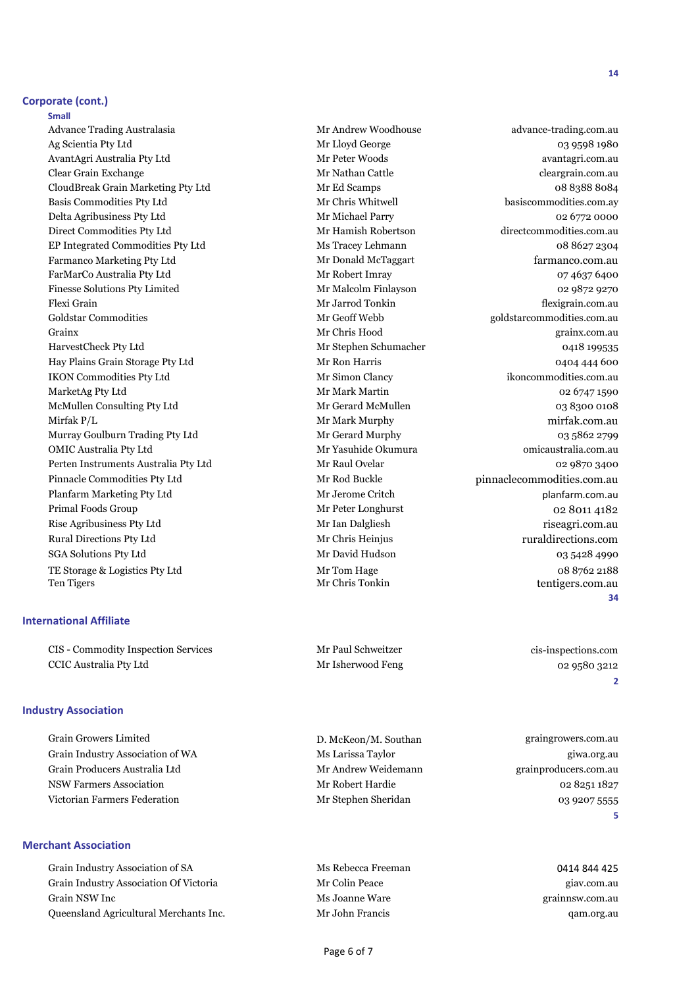#### **Corporate (cont.)**

**Small Small Small Small Small** Advance Trading Australasia and Mr Andrew Woodhouse advance-trading.com.au Ag Scientia Pty Ltd **Mr Lloyd George 63 9598 1980** 03 9598 1980 AvantAgri Australia Pty Ltd Mr Peter Woods avantagri.com.au Clear Grain Exchange and Cleargrain.com.au Mr Nathan Cattle Cleargrain.com.au cleargrain.com.au CloudBreak Grain Marketing Pty Ltd Mr Ed Scamps Mr Ed Scamps 08 8388 8084 Basis Commodities Pty Ltd Mr Chris Whitwell basiscommodities.com.ay Delta Agribusiness Pty Ltd Mr Michael Parry 1992 02 6772 0000 Direct Commodities Pty Ltd Mr Hamish Robertson directcommodities.com.au EP Integrated Commodities Pty Ltd Ms Tracey Lehmann 08 8627 2304 Farmanco Marketing Pty Ltd **Mr Donald McTaggart** farmanco.com.au farmanco.com.au farmanco.com.au farmanco.com.au FarMarCo Australia Pty Ltd Mr Robert Imray 07 4637 6400 Finesse Solutions Pty Limited Mr Malcolm Finlayson and Mr Malcolm Finlayson 62 9872 9270 Flexi Grain Mr Jarrod Tonkin flexigrain.com.au Goldstar Commodities **Soldstar Commodities** Commodities Commodities.com.au Grainx Mr Chris Hood grainx.com.au HarvestCheck Pty Ltd Mr Stephen Schumacher 0418 199535 Hay Plains Grain Storage Pty Ltd Mr Ron Harris 600 0404 444 600 IKON Commodities Pty Ltd Mr Simon Clancy ikoncommodities.com.au MarketAg Pty Ltd Mr Mark Martin 02 6747 1590 McMullen Consulting Pty Ltd Mr Gerard McMullen McMullen 03 8300 0108 Mirfak P/L Mr Mark Murphy mirfak.com.au Murray Goulburn Trading Pty Ltd Mr Gerard Murphy 03 5862 2799 OMIC Australia Pty Ltd Mr Yasuhide Okumura omicaustralia.com.au Perten Instruments Australia Pty Ltd Mr Raul Ovelar Maxwell of Mr Raul Ovelar 62 9870 3400 Pinnacle Commodities Pty Ltd Mr Rod Buckle pinnacle commodities.com.au Planfarm Marketing Pty Ltd **Mr Jerome Critch** Marketing Pty Ltd planfarm.com.au Primal Foods Group **Mr Peter Longhurst** 62 8011 4182 Rise Agribusiness Pty Ltd Mr Ian Dalgliesh Mr Ian Dalgliesh riseagri.com.au Rural Directions Pty Ltd **Mr Chris Heinjus** Rural directions.com SGA Solutions Pty Ltd Mr David Hudson 03 5428 4990 TE Storage & Logistics Pty Ltd Mr Tom Hage 188 8762 2188<br>Ten Tigers of Mr Chris Tonkin Mr Chris Tonkin (1995) 2188

#### **International Affiliate**

CIS - Commodity Inspection Services Mr Paul Schweitzer cis-inspections.com CCIC Australia Pty Ltd Mr Isherwood Feng 02 9580 3212

#### **Industry Association**

Grain Growers Limited D. McKeon/M. Southan graingrowers.com.au Grain Industry Association of WA Ms Larissa Taylor Grain Industry Association of WA Grain Producers Australia Ltd Mr Andrew Weidemann grainproducers.com.au NSW Farmers Association and the Mr Robert Hardie 1982 and 1982 and 1982 and 1982 and 1982 and 1982 and 1982 and 1982 Victorian Farmers Federation and Mr Stephen Sheridan and Device of the Control of Stephen Sheridan and Device of the O3 9207 5555

#### **Merchant Association**

Grain Industry Association of SA Ms Rebecca Freeman 0414 844 425 Grain Industry Association Of Victoria **Mr Colin Peace** and Mr Colin Peace giav.com.au Grain NSW Inc **Grain Struck Community Community** Ms Joanne Ware **graining** grainnsw.com.au Queensland Agricultural Merchants Inc. Mr John Francis qam.org.au

Ten Tigers Mr Chris Tonkin tentigers.com.au **34**

**2**